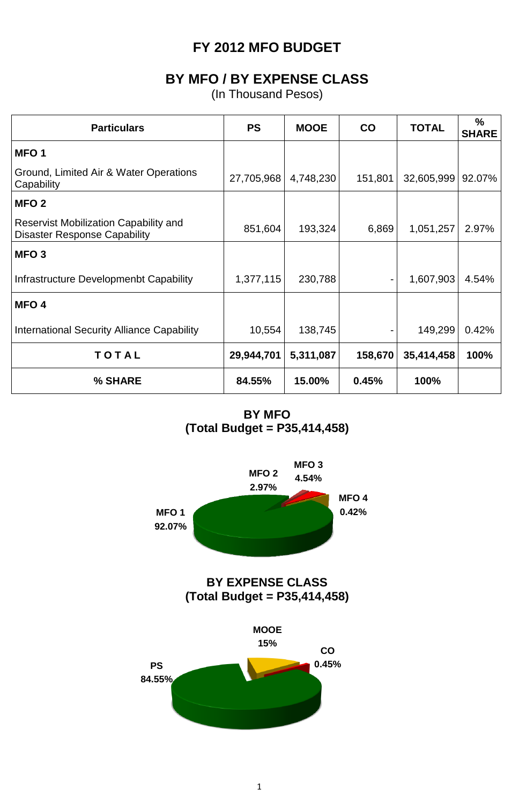## **FY 2012 MFO BUDGET**

## **BY MFO / BY EXPENSE CLASS**

(In Thousand Pesos)

| <b>Particulars</b>                                                           | <b>PS</b>  | <b>MOOE</b> | $\mathsf{co}$ | <b>TOTAL</b> | %<br><b>SHARE</b> |
|------------------------------------------------------------------------------|------------|-------------|---------------|--------------|-------------------|
| MFO <sub>1</sub>                                                             |            |             |               |              |                   |
| Ground, Limited Air & Water Operations<br>Capability                         | 27,705,968 | 4,748,230   | 151,801       | 32,605,999   | 92.07%            |
| MFO <sub>2</sub>                                                             |            |             |               |              |                   |
| Reservist Mobilization Capability and<br><b>Disaster Response Capability</b> | 851,604    | 193,324     | 6,869         | 1,051,257    | 2.97%             |
| MFO <sub>3</sub>                                                             |            |             |               |              |                   |
| Infrastructure Developmenbt Capability                                       | 1,377,115  | 230,788     |               | 1,607,903    | 4.54%             |
| MFO <sub>4</sub>                                                             |            |             |               |              |                   |
| <b>International Security Alliance Capability</b>                            | 10,554     | 138,745     |               | 149,299      | 0.42%             |
| TOTAL                                                                        | 29,944,701 | 5,311,087   | 158,670       | 35,414,458   | 100%              |
| % SHARE                                                                      | 84.55%     | 15.00%      | 0.45%         | 100%         |                   |

**BY MFO (Total Budget = P35,414,458)**

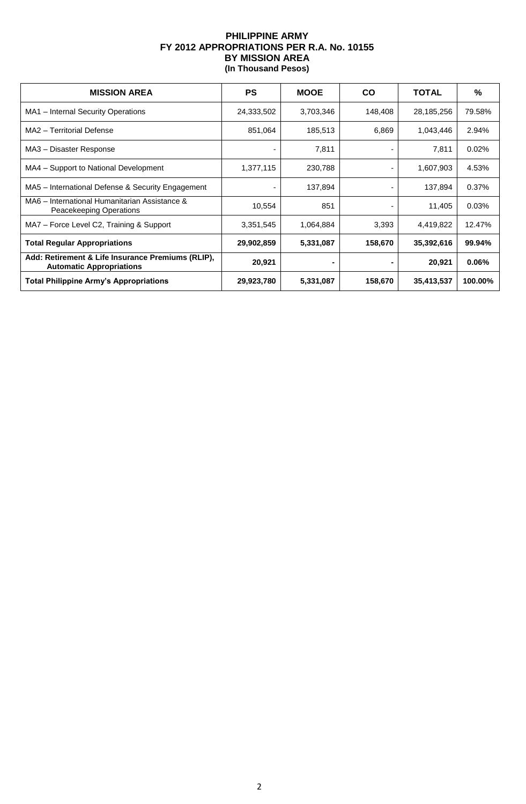## **PHILIPPINE ARMY FY 2012 APPROPRIATIONS PER R.A. No. 10155 BY MISSION AREA (In Thousand Pesos)**

| <b>MISSION AREA</b>                                                                  | <b>PS</b>  | <b>MOOE</b> | <b>CO</b> | <b>TOTAL</b> | %        |
|--------------------------------------------------------------------------------------|------------|-------------|-----------|--------------|----------|
| MA1 - Internal Security Operations                                                   | 24,333,502 | 3,703,346   | 148,408   | 28,185,256   | 79.58%   |
| MA2 - Territorial Defense                                                            | 851,064    | 185,513     | 6,869     | 1,043,446    | 2.94%    |
| MA3 - Disaster Response                                                              |            | 7,811       |           | 7,811        | 0.02%    |
| MA4 - Support to National Development                                                | 1,377,115  | 230,788     |           | 1,607,903    | 4.53%    |
| MA5 – International Defense & Security Engagement                                    |            | 137,894     |           | 137,894      | 0.37%    |
| MA6 - International Humanitarian Assistance &<br>Peacekeeping Operations             | 10,554     | 851         |           | 11,405       | 0.03%    |
| MA7 - Force Level C2, Training & Support                                             | 3,351,545  | 1,064,884   | 3,393     | 4,419,822    | 12.47%   |
| <b>Total Regular Appropriations</b>                                                  | 29,902,859 | 5,331,087   | 158,670   | 35,392,616   | 99.94%   |
| Add: Retirement & Life Insurance Premiums (RLIP),<br><b>Automatic Appropriations</b> | 20,921     |             |           | 20,921       | $0.06\%$ |
| <b>Total Philippine Army's Appropriations</b>                                        | 29,923,780 | 5,331,087   | 158,670   | 35,413,537   | 100.00%  |